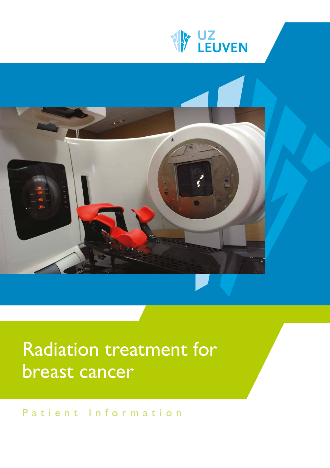



# Radiation treatment for breast cancer

Patient Information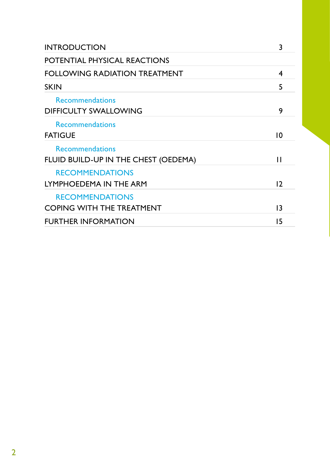| <b>INTRODUCTION</b>                                            | 3  |
|----------------------------------------------------------------|----|
| POTENTIAL PHYSICAL REACTIONS                                   |    |
| <b>FOLLOWING RADIATION TREATMENT</b>                           | 4  |
| <b>SKIN</b>                                                    | 5  |
| <b>Recommendations</b><br><b>DIFFICULTY SWALLOWING</b>         | 9  |
| <b>Recommendations</b><br><b>FATIGUE</b>                       | 10 |
| <b>Recommendations</b><br>FLUID BUILD-UP IN THE CHEST (OEDEMA) | П  |
| <b>RECOMMENDATIONS</b><br>LYMPHOEDEMA IN THE ARM               | 12 |
| <b>RECOMMENDATIONS</b><br><b>COPING WITH THE TREATMENT</b>     | 13 |
| <b>FURTHER INFORMATION</b>                                     | 15 |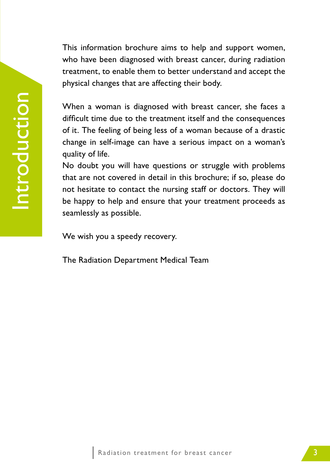This information brochure aims to help and support women, who have been diagnosed with breast cancer, during radiation treatment, to enable them to better understand and accept the physical changes that are affecting their body.

When a woman is diagnosed with breast cancer, she faces a difficult time due to the treatment itself and the consequences of it. The feeling of being less of a woman because of a drastic change in self-image can have a serious impact on a woman's quality of life.

No doubt you will have questions or struggle with problems that are not covered in detail in this brochure; if so, please do not hesitate to contact the nursing staff or doctors. They will be happy to help and ensure that your treatment proceeds as seamlessly as possible.

We wish you a speedy recovery.

The Radiation Department Medical Team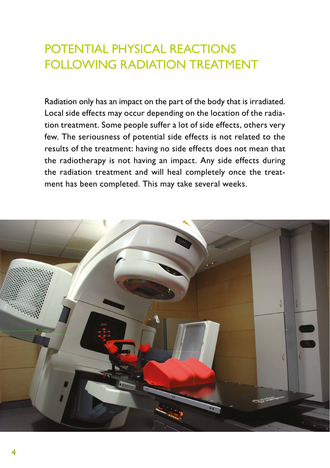# POTENTIAL PHYSICAL REACTIONS FOLLOWING RADIATION TREATMENT

Radiation only has an impact on the part of the body that is irradiated. Local side effects may occur depending on the location of the radiation treatment. Some people suffer a lot of side effects, others very few. The seriousness of potential side effects is not related to the results of the treatment: having no side effects does not mean that the radiotherapy is not having an impact. Any side effects during the radiation treatment and will heal completely once the treatment has been completed. This may take several weeks.

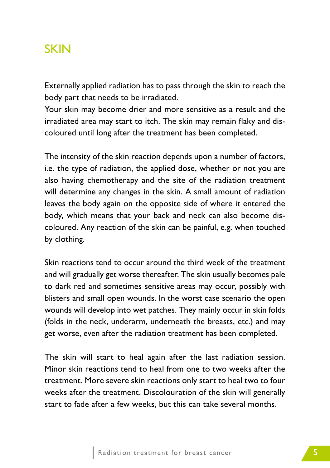### **SKIN**

Externally applied radiation has to pass through the skin to reach the body part that needs to be irradiated.

Your skin may become drier and more sensitive as a result and the irradiated area may start to itch. The skin may remain flaky and discoloured until long after the treatment has been completed.

The intensity of the skin reaction depends upon a number of factors, i.e. the type of radiation, the applied dose, whether or not you are also having chemotherapy and the site of the radiation treatment will determine any changes in the skin. A small amount of radiation leaves the body again on the opposite side of where it entered the body, which means that your back and neck can also become discoloured. Any reaction of the skin can be painful, e.g. when touched by clothing.

Skin reactions tend to occur around the third week of the treatment and will gradually get worse thereafter. The skin usually becomes pale to dark red and sometimes sensitive areas may occur, possibly with blisters and small open wounds. In the worst case scenario the open wounds will develop into wet patches. They mainly occur in skin folds (folds in the neck, underarm, underneath the breasts, etc.) and may get worse, even after the radiation treatment has been completed.

The skin will start to heal again after the last radiation session. Minor skin reactions tend to heal from one to two weeks after the treatment. More severe skin reactions only start to heal two to four weeks after the treatment. Discolouration of the skin will generally start to fade after a few weeks, but this can take several months.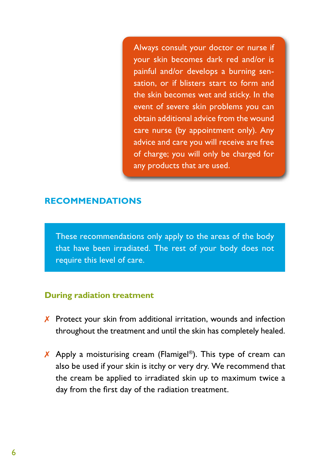Always consult your doctor or nurse if your skin becomes dark red and/or is painful and/or develops a burning sensation, or if blisters start to form and the skin becomes wet and sticky. In the event of severe skin problems you can obtain additional advice from the wound care nurse (by appointment only). Any advice and care you will receive are free of charge; you will only be charged for any products that are used.

#### **RECOMMENDATIONS**

These recommendations only apply to the areas of the body that have been irradiated. The rest of your body does not require this level of care.

#### **During radiation treatment**

- $\chi$  Protect your skin from additional irritation, wounds and infection throughout the treatment and until the skin has completely healed.
- $\chi$  Apply a moisturising cream (Flamigel®). This type of cream can also be used if your skin is itchy or very dry. We recommend that the cream be applied to irradiated skin up to maximum twice a day from the first day of the radiation treatment.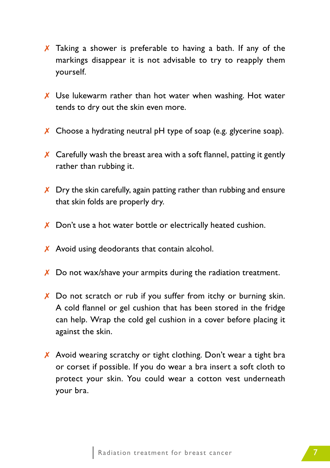- $\chi$  Taking a shower is preferable to having a bath. If any of the markings disappear it is not advisable to try to reapply them yourself.
- $\chi$  Use lukewarm rather than hot water when washing. Hot water tends to dry out the skin even more.
- $\chi$  Choose a hydrating neutral pH type of soap (e.g. glycerine soap).
- $\chi$  Carefully wash the breast area with a soft flannel, patting it gently rather than rubbing it.
- $\chi$  Dry the skin carefully, again patting rather than rubbing and ensure that skin folds are properly dry.
- X Don't use a hot water bottle or electrically heated cushion.
- $\chi$  Avoid using deodorants that contain alcohol.
- $\chi$  Do not wax/shave your armpits during the radiation treatment.
- $\chi$  Do not scratch or rub if you suffer from itchy or burning skin. A cold flannel or gel cushion that has been stored in the fridge can help. Wrap the cold gel cushion in a cover before placing it against the skin.
- $\chi$  Avoid wearing scratchy or tight clothing. Don't wear a tight bra or corset if possible. If you do wear a bra insert a soft cloth to protect your skin. You could wear a cotton vest underneath your bra.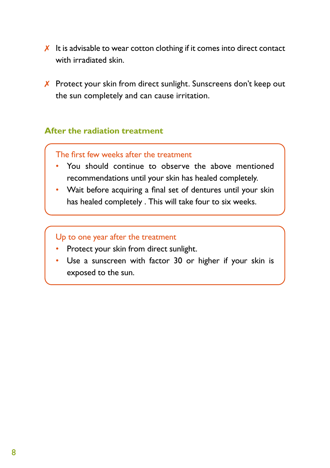- $\chi$  It is advisable to wear cotton clothing if it comes into direct contact with irradiated skin.
- X Protect your skin from direct sunlight. Sunscreens don't keep out the sun completely and can cause irritation.

### **After the radiation treatment**

#### The first few weeks after the treatment

- You should continue to observe the above mentioned recommendations until your skin has healed completely.
- Wait before acquiring a final set of dentures until your skin has healed completely . This will take four to six weeks.

#### Up to one year after the treatment

- Protect your skin from direct sunlight.
- Use a sunscreen with factor 30 or higher if your skin is exposed to the sun.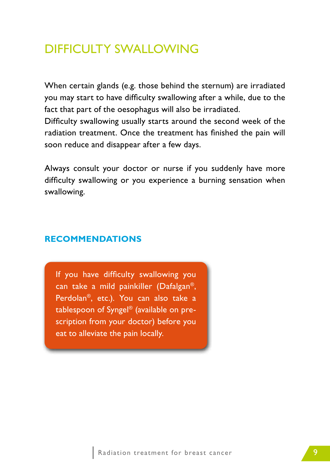## DIFFICULTY SWALLOWING

When certain glands (e.g. those behind the sternum) are irradiated you may start to have difficulty swallowing after a while, due to the fact that part of the oesophagus will also be irradiated. Difficulty swallowing usually starts around the second week of the

radiation treatment. Once the treatment has finished the pain will soon reduce and disappear after a few days.

Always consult your doctor or nurse if you suddenly have more difficulty swallowing or you experience a burning sensation when swallowing.

### **RECOMMENDATIONS**

If you have difficulty swallowing you can take a mild painkiller (Dafalgan®, Perdolan®, etc.). You can also take a tablespoon of Syngel® (available on prescription from your doctor) before you eat to alleviate the pain locally.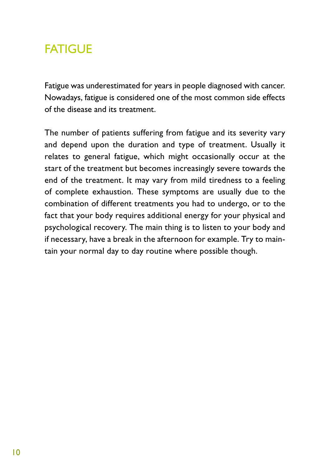# **FATIGUE**

Fatigue was underestimated for years in people diagnosed with cancer. Nowadays, fatigue is considered one of the most common side effects of the disease and its treatment.

The number of patients suffering from fatigue and its severity vary and depend upon the duration and type of treatment. Usually it relates to general fatigue, which might occasionally occur at the start of the treatment but becomes increasingly severe towards the end of the treatment. It may vary from mild tiredness to a feeling of complete exhaustion. These symptoms are usually due to the combination of different treatments you had to undergo, or to the fact that your body requires additional energy for your physical and psychological recovery. The main thing is to listen to your body and if necessary, have a break in the afternoon for example. Try to maintain your normal day to day routine where possible though.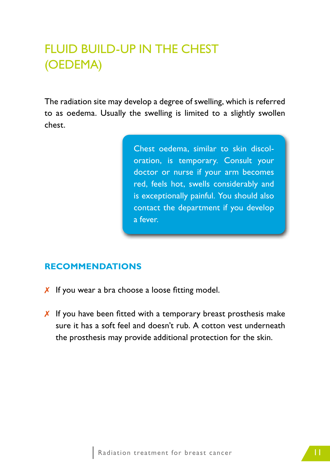# FLUID BUILD-UP IN THE CHEST (OEDEMA)

The radiation site may develop a degree of swelling, which is referred to as oedema. Usually the swelling is limited to a slightly swollen chest.

> Chest oedema, similar to skin discoloration, is temporary. Consult your doctor or nurse if your arm becomes red, feels hot, swells considerably and is exceptionally painful. You should also contact the department if you develop a fever.

### **RECOMMENDATIONS**

- $\chi$  If you wear a bra choose a loose fitting model.
- $\chi$  If you have been fitted with a temporary breast prosthesis make sure it has a soft feel and doesn't rub. A cotton vest underneath the prosthesis may provide additional protection for the skin.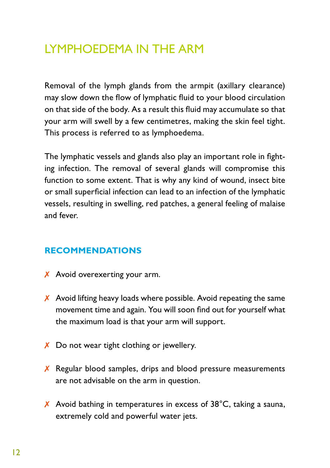# LYMPHOEDEMA IN THE ARM

Removal of the lymph glands from the armpit (axillary clearance) may slow down the flow of lymphatic fluid to your blood circulation on that side of the body. As a result this fluid may accumulate so that your arm will swell by a few centimetres, making the skin feel tight. This process is referred to as lymphoedema.

The lymphatic vessels and glands also play an important role in fighting infection. The removal of several glands will compromise this function to some extent. That is why any kind of wound, insect bite or small superficial infection can lead to an infection of the lymphatic vessels, resulting in swelling, red patches, a general feeling of malaise and fever.

### **RECOMMENDATIONS**

- $\chi$  Avoid overexerting your arm.
- $\chi$  Avoid lifting heavy loads where possible. Avoid repeating the same movement time and again. You will soon find out for yourself what the maximum load is that your arm will support.
- $\chi$  Do not wear tight clothing or jewellery.
- $\chi$  Regular blood samples, drips and blood pressure measurements are not advisable on the arm in question.
- $\chi$  Avoid bathing in temperatures in excess of 38°C, taking a sauna, extremely cold and powerful water jets.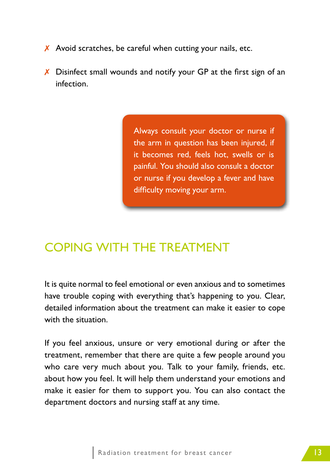- $\chi$  Avoid scratches, be careful when cutting your nails, etc.
- $\chi$  Disinfect small wounds and notify your GP at the first sign of an infection.

Always consult your doctor or nurse if the arm in question has been injured, if it becomes red, feels hot, swells or is painful. You should also consult a doctor or nurse if you develop a fever and have difficulty moving your arm.

## COPING WITH THE TREATMENT

It is quite normal to feel emotional or even anxious and to sometimes have trouble coping with everything that's happening to you. Clear, detailed information about the treatment can make it easier to cope with the situation.

If you feel anxious, unsure or very emotional during or after the treatment, remember that there are quite a few people around you who care very much about you. Talk to your family, friends, etc. about how you feel. It will help them understand your emotions and make it easier for them to support you. You can also contact the department doctors and nursing staff at any time.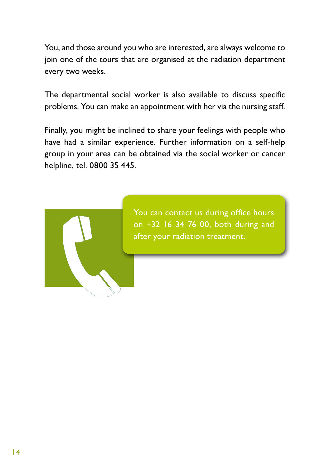You, and those around you who are interested, are always welcome to join one of the tours that are organised at the radiation department every two weeks.

The departmental social worker is also available to discuss specific problems. You can make an appointment with her via the nursing staff.

Finally, you might be inclined to share your feelings with people who have had a similar experience. Further information on a self-help group in your area can be obtained via the social worker or cancer helpline, tel. 0800 35 445.



You can contact us during office hours on +32 16 34 76 00, both during and after your radiation treatment.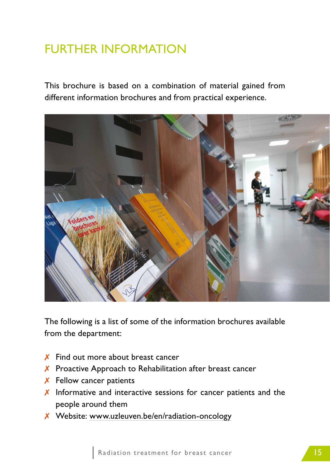# FURTHER INFORMATION

This brochure is based on a combination of material gained from different information brochures and from practical experience.



The following is a list of some of the information brochures available from the department:

- $\boldsymbol{X}$  Find out more about breast cancer
- ✗ Proactive Approach to Rehabilitation after breast cancer
- $\boldsymbol{X}$  Fellow cancer patients
- $\chi$  Informative and interactive sessions for cancer patients and the people around them
- ✗ Website: [www.uzleuven.be/en/radiation-oncology](http://www.uzleuven.be/en/radiation-oncology)